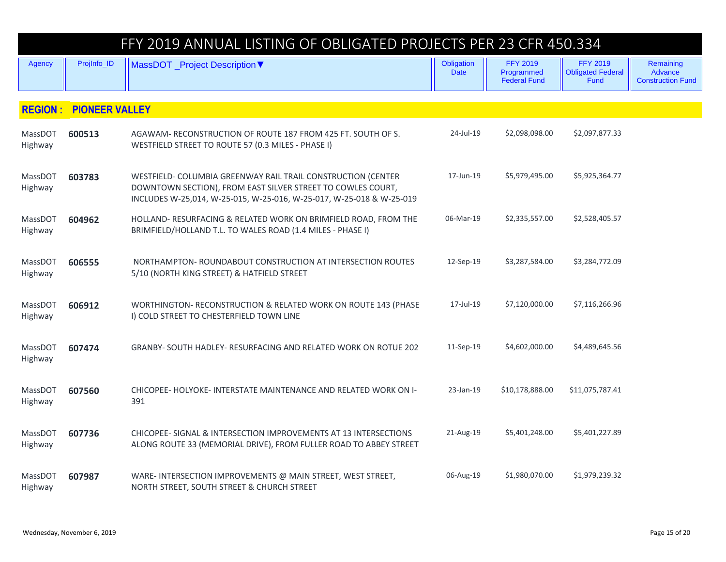|                           |                       | FFY 2019 ANNUAL LISTING OF OBLIGATED PROJECTS PER 23 CFR 450.334                                                                                                                                    |                           |                                                      |                                                     |                                                  |  |  |
|---------------------------|-----------------------|-----------------------------------------------------------------------------------------------------------------------------------------------------------------------------------------------------|---------------------------|------------------------------------------------------|-----------------------------------------------------|--------------------------------------------------|--|--|
| Agency                    | ProjInfo_ID           | MassDOT _Project Description ▼                                                                                                                                                                      | Obligation<br><b>Date</b> | <b>FFY 2019</b><br>Programmed<br><b>Federal Fund</b> | <b>FFY 2019</b><br><b>Obligated Federal</b><br>Fund | Remaining<br>Advance<br><b>Construction Fund</b> |  |  |
| <b>REGION:</b>            | <b>PIONEER VALLEY</b> |                                                                                                                                                                                                     |                           |                                                      |                                                     |                                                  |  |  |
| MassDOT<br>Highway        | 600513                | AGAWAM-RECONSTRUCTION OF ROUTE 187 FROM 425 FT. SOUTH OF S.<br>WESTFIELD STREET TO ROUTE 57 (0.3 MILES - PHASE I)                                                                                   | 24-Jul-19                 | \$2,098,098.00                                       | \$2,097,877.33                                      |                                                  |  |  |
| MassDOT<br>Highway        | 603783                | WESTFIELD- COLUMBIA GREENWAY RAIL TRAIL CONSTRUCTION (CENTER<br>DOWNTOWN SECTION), FROM EAST SILVER STREET TO COWLES COURT,<br>INCLUDES W-25,014, W-25-015, W-25-016, W-25-017, W-25-018 & W-25-019 | 17-Jun-19                 | \$5,979,495.00                                       | \$5,925,364.77                                      |                                                  |  |  |
| MassDOT<br>Highway        | 604962                | HOLLAND- RESURFACING & RELATED WORK ON BRIMFIELD ROAD, FROM THE<br>BRIMFIELD/HOLLAND T.L. TO WALES ROAD (1.4 MILES - PHASE I)                                                                       | 06-Mar-19                 | \$2,335,557.00                                       | \$2,528,405.57                                      |                                                  |  |  |
| MassDOT<br>Highway        | 606555                | NORTHAMPTON-ROUNDABOUT CONSTRUCTION AT INTERSECTION ROUTES<br>5/10 (NORTH KING STREET) & HATFIELD STREET                                                                                            | 12-Sep-19                 | \$3,287,584.00                                       | \$3,284,772.09                                      |                                                  |  |  |
| MassDOT<br>Highway        | 606912                | WORTHINGTON- RECONSTRUCTION & RELATED WORK ON ROUTE 143 (PHASE<br>I) COLD STREET TO CHESTERFIELD TOWN LINE                                                                                          | 17-Jul-19                 | \$7,120,000.00                                       | \$7,116,266.96                                      |                                                  |  |  |
| MassDOT<br>Highway        | 607474                | GRANBY- SOUTH HADLEY- RESURFACING AND RELATED WORK ON ROTUE 202                                                                                                                                     | 11-Sep-19                 | \$4,602,000.00                                       | \$4,489,645.56                                      |                                                  |  |  |
| MassDOT<br>Highway        | 607560                | CHICOPEE- HOLYOKE- INTERSTATE MAINTENANCE AND RELATED WORK ON I-<br>391                                                                                                                             | 23-Jan-19                 | \$10,178,888.00                                      | \$11,075,787.41                                     |                                                  |  |  |
| MassDOT<br>Highway        | 607736                | CHICOPEE-SIGNAL & INTERSECTION IMPROVEMENTS AT 13 INTERSECTIONS<br>ALONG ROUTE 33 (MEMORIAL DRIVE), FROM FULLER ROAD TO ABBEY STREET                                                                | 21-Aug-19                 | \$5,401,248.00                                       | \$5,401,227.89                                      |                                                  |  |  |
| <b>MassDOT</b><br>Highway | 607987                | WARE- INTERSECTION IMPROVEMENTS @ MAIN STREET, WEST STREET,<br>NORTH STREET, SOUTH STREET & CHURCH STREET                                                                                           | 06-Aug-19                 | \$1,980,070.00                                       | \$1,979,239.32                                      |                                                  |  |  |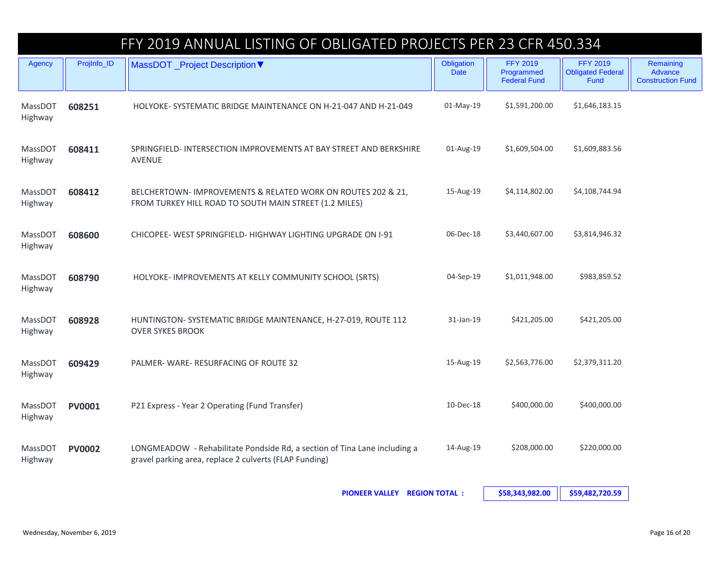## FFY 2019 ANNUAL LISTING OF OBLIGATED PROJECTS PER 23 CFR 450.334

| Agency             | ProjInfo_ID   | MassDOT _Project Description ▼                                                                                                      | Obligation<br><b>Date</b> | <b>FFY 2019</b><br>Programmed<br><b>Federal Fund</b> | <b>FFY 2019</b><br><b>Obligated Federal</b><br><b>Fund</b> | Remaining<br>Advance<br><b>Construction Fund</b> |
|--------------------|---------------|-------------------------------------------------------------------------------------------------------------------------------------|---------------------------|------------------------------------------------------|------------------------------------------------------------|--------------------------------------------------|
| MassDOT<br>Highway | 608251        | HOLYOKE-SYSTEMATIC BRIDGE MAINTENANCE ON H-21-047 AND H-21-049                                                                      | $01-May-19$               | \$1,591,200.00                                       | \$1,646,183.15                                             |                                                  |
| MassDOT<br>Highway | 608411        | SPRINGFIELD-INTERSECTION IMPROVEMENTS AT BAY STREET AND BERKSHIRE<br><b>AVENUE</b>                                                  | 01-Aug-19                 | \$1,609,504.00                                       | \$1,609,883.56                                             |                                                  |
| MassDOT<br>Highway | 608412        | BELCHERTOWN- IMPROVEMENTS & RELATED WORK ON ROUTES 202 & 21,<br>FROM TURKEY HILL ROAD TO SOUTH MAIN STREET (1.2 MILES)              | 15-Aug-19                 | \$4,114,802.00                                       | \$4,108,744.94                                             |                                                  |
| MassDOT<br>Highway | 608600        | CHICOPEE- WEST SPRINGFIELD- HIGHWAY LIGHTING UPGRADE ON I-91                                                                        | 06-Dec-18                 | \$3,440,607.00                                       | \$3,814,946.32                                             |                                                  |
| MassDOT<br>Highway | 608790        | HOLYOKE- IMPROVEMENTS AT KELLY COMMUNITY SCHOOL (SRTS)                                                                              | 04-Sep-19                 | \$1,011,948.00                                       | \$983,859.52                                               |                                                  |
| MassDOT<br>Highway | 608928        | HUNTINGTON-SYSTEMATIC BRIDGE MAINTENANCE, H-27-019, ROUTE 112<br><b>OVER SYKES BROOK</b>                                            | 31-Jan-19                 | \$421,205.00                                         | \$421,205.00                                               |                                                  |
| MassDOT<br>Highway | 609429        | PALMER-WARE-RESURFACING OF ROUTE 32                                                                                                 | 15-Aug-19                 | \$2,563,776.00                                       | \$2,379,311.20                                             |                                                  |
| MassDOT<br>Highway | <b>PV0001</b> | P21 Express - Year 2 Operating (Fund Transfer)                                                                                      | 10-Dec-18                 | \$400,000.00                                         | \$400,000.00                                               |                                                  |
| MassDOT<br>Highway | <b>PV0002</b> | LONGMEADOW - Rehabilitate Pondside Rd, a section of Tina Lane including a<br>gravel parking area, replace 2 culverts (FLAP Funding) | 14-Aug-19                 | \$208,000.00                                         | \$220,000.00                                               |                                                  |

**PIONEER VALLEY REGION TOTAL : \$58,343,982.00 \$59,482,720.59**